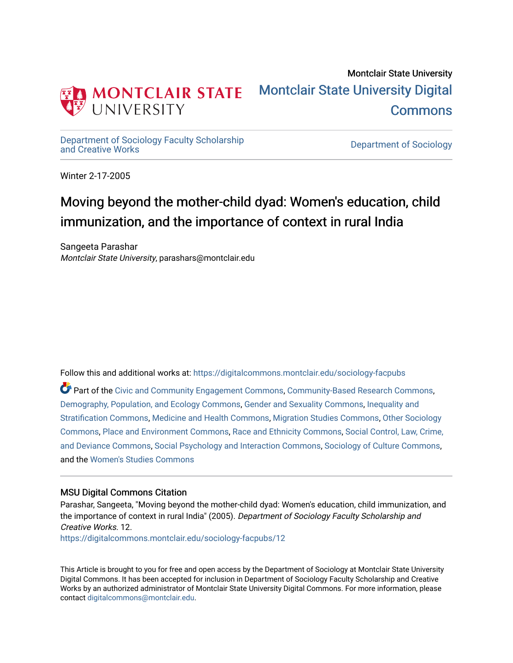

## Montclair State University [Montclair State University Digital](https://digitalcommons.montclair.edu/)  [Commons](https://digitalcommons.montclair.edu/)

[Department of Sociology Faculty Scholarship](https://digitalcommons.montclair.edu/sociology-facpubs)

Department of Sociology

Winter 2-17-2005

# Moving beyond the mother-child dyad: Women's education, child immunization, and the importance of context in rural India

Sangeeta Parashar Montclair State University, parashars@montclair.edu

Follow this and additional works at: [https://digitalcommons.montclair.edu/sociology-facpubs](https://digitalcommons.montclair.edu/sociology-facpubs?utm_source=digitalcommons.montclair.edu%2Fsociology-facpubs%2F12&utm_medium=PDF&utm_campaign=PDFCoverPages)

Part of the [Civic and Community Engagement Commons](http://network.bepress.com/hgg/discipline/1028?utm_source=digitalcommons.montclair.edu%2Fsociology-facpubs%2F12&utm_medium=PDF&utm_campaign=PDFCoverPages), [Community-Based Research Commons](http://network.bepress.com/hgg/discipline/1047?utm_source=digitalcommons.montclair.edu%2Fsociology-facpubs%2F12&utm_medium=PDF&utm_campaign=PDFCoverPages), [Demography, Population, and Ecology Commons](http://network.bepress.com/hgg/discipline/418?utm_source=digitalcommons.montclair.edu%2Fsociology-facpubs%2F12&utm_medium=PDF&utm_campaign=PDFCoverPages), [Gender and Sexuality Commons,](http://network.bepress.com/hgg/discipline/420?utm_source=digitalcommons.montclair.edu%2Fsociology-facpubs%2F12&utm_medium=PDF&utm_campaign=PDFCoverPages) [Inequality and](http://network.bepress.com/hgg/discipline/421?utm_source=digitalcommons.montclair.edu%2Fsociology-facpubs%2F12&utm_medium=PDF&utm_campaign=PDFCoverPages) [Stratification Commons](http://network.bepress.com/hgg/discipline/421?utm_source=digitalcommons.montclair.edu%2Fsociology-facpubs%2F12&utm_medium=PDF&utm_campaign=PDFCoverPages), [Medicine and Health Commons](http://network.bepress.com/hgg/discipline/422?utm_source=digitalcommons.montclair.edu%2Fsociology-facpubs%2F12&utm_medium=PDF&utm_campaign=PDFCoverPages), [Migration Studies Commons,](http://network.bepress.com/hgg/discipline/1394?utm_source=digitalcommons.montclair.edu%2Fsociology-facpubs%2F12&utm_medium=PDF&utm_campaign=PDFCoverPages) [Other Sociology](http://network.bepress.com/hgg/discipline/434?utm_source=digitalcommons.montclair.edu%2Fsociology-facpubs%2F12&utm_medium=PDF&utm_campaign=PDFCoverPages) [Commons](http://network.bepress.com/hgg/discipline/434?utm_source=digitalcommons.montclair.edu%2Fsociology-facpubs%2F12&utm_medium=PDF&utm_campaign=PDFCoverPages), [Place and Environment Commons](http://network.bepress.com/hgg/discipline/424?utm_source=digitalcommons.montclair.edu%2Fsociology-facpubs%2F12&utm_medium=PDF&utm_campaign=PDFCoverPages), [Race and Ethnicity Commons](http://network.bepress.com/hgg/discipline/426?utm_source=digitalcommons.montclair.edu%2Fsociology-facpubs%2F12&utm_medium=PDF&utm_campaign=PDFCoverPages), [Social Control, Law, Crime,](http://network.bepress.com/hgg/discipline/429?utm_source=digitalcommons.montclair.edu%2Fsociology-facpubs%2F12&utm_medium=PDF&utm_campaign=PDFCoverPages) [and Deviance Commons](http://network.bepress.com/hgg/discipline/429?utm_source=digitalcommons.montclair.edu%2Fsociology-facpubs%2F12&utm_medium=PDF&utm_campaign=PDFCoverPages), [Social Psychology and Interaction Commons](http://network.bepress.com/hgg/discipline/430?utm_source=digitalcommons.montclair.edu%2Fsociology-facpubs%2F12&utm_medium=PDF&utm_campaign=PDFCoverPages), [Sociology of Culture Commons,](http://network.bepress.com/hgg/discipline/431?utm_source=digitalcommons.montclair.edu%2Fsociology-facpubs%2F12&utm_medium=PDF&utm_campaign=PDFCoverPages) and the [Women's Studies Commons](http://network.bepress.com/hgg/discipline/561?utm_source=digitalcommons.montclair.edu%2Fsociology-facpubs%2F12&utm_medium=PDF&utm_campaign=PDFCoverPages) 

## MSU Digital Commons Citation

Parashar, Sangeeta, "Moving beyond the mother-child dyad: Women's education, child immunization, and the importance of context in rural India" (2005). Department of Sociology Faculty Scholarship and Creative Works. 12.

[https://digitalcommons.montclair.edu/sociology-facpubs/12](https://digitalcommons.montclair.edu/sociology-facpubs/12?utm_source=digitalcommons.montclair.edu%2Fsociology-facpubs%2F12&utm_medium=PDF&utm_campaign=PDFCoverPages) 

This Article is brought to you for free and open access by the Department of Sociology at Montclair State University Digital Commons. It has been accepted for inclusion in Department of Sociology Faculty Scholarship and Creative Works by an authorized administrator of Montclair State University Digital Commons. For more information, please contact [digitalcommons@montclair.edu](mailto:digitalcommons@montclair.edu).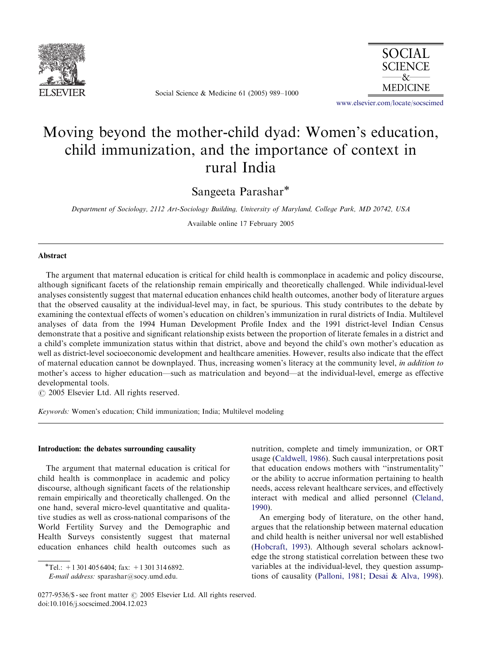

Social Science & Medicine 61 (2005) 989–1000



<www.elsevier.com/locate/socscimed>

## Moving beyond the mother-child dyad: Women's education, child immunization, and the importance of context in rural India

Sangeeta Parashar

Department of Sociology, 2112 Art-Sociology Building, University of Maryland, College Park, MD 20742, USA

Available online 17 February 2005

## Abstract

The argument that maternal education is critical for child health is commonplace in academic and policy discourse, although significant facets of the relationship remain empirically and theoretically challenged. While individual-level analyses consistently suggest that maternal education enhances child health outcomes, another body of literature argues that the observed causality at the individual-level may, in fact, be spurious. This study contributes to the debate by examining the contextual effects of women's education on children's immunization in rural districts of India. Multilevel analyses of data from the 1994 Human Development Profile Index and the 1991 district-level Indian Census demonstrate that a positive and significant relationship exists between the proportion of literate females in a district and a child's complete immunization status within that district, above and beyond the child's own mother's education as well as district-level socioeconomic development and healthcare amenities. However, results also indicate that the effect of maternal education cannot be downplayed. Thus, increasing women's literacy at the community level, in addition to mother's access to higher education—such as matriculation and beyond—at the individual-level, emerge as effective developmental tools.

 $O$  2005 Elsevier Ltd. All rights reserved.

Keywords: Women's education; Child immunization; India; Multilevel modeling

## Introduction: the debates surrounding causality

The argument that maternal education is critical for child health is commonplace in academic and policy discourse, although significant facets of the relationship remain empirically and theoretically challenged. On the one hand, several micro-level quantitative and qualitative studies as well as cross-national comparisons of the World Fertility Survey and the Demographic and Health Surveys consistently suggest that maternal education enhances child health outcomes such as

nutrition, complete and timely immunization, or ORT usage [\(Caldwell, 1986](#page-11-0)). Such causal interpretations posit that education endows mothers with ''instrumentality'' or the ability to accrue information pertaining to health needs, access relevant healthcare services, and effectively interact with medical and allied personnel ([Cleland,](#page-12-0) [1990\)](#page-12-0).

An emerging body of literature, on the other hand, argues that the relationship between maternal education and child health is neither universal nor well established ([Hobcraft, 1993\)](#page-12-0). Although several scholars acknowledge the strong statistical correlation between these two variables at the individual-level, they question assumptions of causality ([Palloni, 1981](#page-12-0); [Desai](#page-12-0) [& Alva, 1998](#page-12-0)).

<sup>\*</sup>Tel.:  $+13014056404$ ; fax:  $+13013146892$ .

E-mail address: sparashar@socy.umd.edu.

<sup>0277-9536/\$ -</sup> see front matter  $\odot$  2005 Elsevier Ltd. All rights reserved. doi:10.1016/j.socscimed.2004.12.023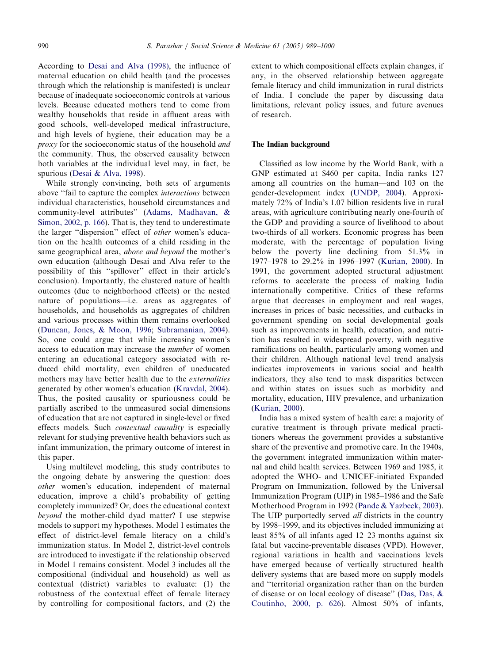According to [Desai and Alva \(1998\)](#page-12-0), the influence of maternal education on child health (and the processes through which the relationship is manifested) is unclear because of inadequate socioeconomic controls at various levels. Because educated mothers tend to come from wealthy households that reside in affluent areas with good schools, well-developed medical infrastructure, and high levels of hygiene, their education may be a  $proxv$  for the socioeconomic status of the household *and* the community. Thus, the observed causality between both variables at the individual level may, in fact, be spurious [\(Desai & Alva, 1998](#page-12-0)).

While strongly convincing, both sets of arguments above ''fail to capture the complex interactions between individual characteristics, household circumstances and community-level attributes'' ([Adams, Madhavan, &](#page-11-0) [Simon, 2002, p. 166](#page-11-0)). That is, they tend to underestimate the larger ''dispersion'' effect of other women's education on the health outcomes of a child residing in the same geographical area, above and beyond the mother's own education (although Desai and Alva refer to the possibility of this ''spillover'' effect in their article's conclusion). Importantly, the clustered nature of health outcomes (due to neighborhood effects) or the nested nature of populations—i.e. areas as aggregates of households, and households as aggregates of children and various processes within them remains overlooked ([Duncan, Jones,](#page-12-0) [& Moon, 1996;](#page-12-0) [Subramanian, 2004](#page-12-0)). So, one could argue that while increasing women's access to education may increase the number of women entering an educational category associated with reduced child mortality, even children of uneducated mothers may have better health due to the externalities generated by other women's education [\(Kravdal, 2004](#page-12-0)). Thus, the posited causality or spuriousness could be partially ascribed to the unmeasured social dimensions of education that are not captured in single-level or fixed effects models. Such contextual causality is especially relevant for studying preventive health behaviors such as infant immunization, the primary outcome of interest in this paper.

Using multilevel modeling, this study contributes to the ongoing debate by answering the question: does other women's education, independent of maternal education, improve a child's probability of getting completely immunized? Or, does the educational context beyond the mother-child dyad matter? I use stepwise models to support my hypotheses. Model 1 estimates the effect of district-level female literacy on a child's immunization status. In Model 2, district-level controls are introduced to investigate if the relationship observed in Model 1 remains consistent. Model 3 includes all the compositional (individual and household) as well as contextual (district) variables to evaluate: (1) the robustness of the contextual effect of female literacy by controlling for compositional factors, and (2) the extent to which compositional effects explain changes, if any, in the observed relationship between aggregate female literacy and child immunization in rural districts of India. I conclude the paper by discussing data limitations, relevant policy issues, and future avenues of research.

#### The Indian background

Classified as low income by the World Bank, with a GNP estimated at \$460 per capita, India ranks 127 among all countries on the human—and 103 on the gender-development index ([UNDP, 2004\)](#page-12-0). Approximately 72% of India's 1.07 billion residents live in rural areas, with agriculture contributing nearly one-fourth of the GDP and providing a source of livelihood to about two-thirds of all workers. Economic progress has been moderate, with the percentage of population living below the poverty line declining from 51.3% in 1977–1978 to 29.2% in 1996–1997 ([Kurian, 2000\)](#page-12-0). In 1991, the government adopted structural adjustment reforms to accelerate the process of making India internationally competitive. Critics of these reforms argue that decreases in employment and real wages, increases in prices of basic necessities, and cutbacks in government spending on social developmental goals such as improvements in health, education, and nutrition has resulted in widespread poverty, with negative ramifications on health, particularly among women and their children. Although national level trend analysis indicates improvements in various social and health indicators, they also tend to mask disparities between and within states on issues such as morbidity and mortality, education, HIV prevalence, and urbanization ([Kurian, 2000\)](#page-12-0).

India has a mixed system of health care: a majority of curative treatment is through private medical practitioners whereas the government provides a substantive share of the preventive and promotive care. In the 1940s, the government integrated immunization within maternal and child health services. Between 1969 and 1985, it adopted the WHO- and UNICEF-initiated Expanded Program on Immunization, followed by the Universal Immunization Program (UIP) in 1985–1986 and the Safe Motherhood Program in 1992 ([Pande & Yazbeck, 2003](#page-12-0)). The UIP purportedly served *all* districts in the country by 1998–1999, and its objectives included immunizing at least 85% of all infants aged 12–23 months against six fatal but vaccine-preventable diseases (VPD). However, regional variations in health and vaccinations levels have emerged because of vertically structured health delivery systems that are based more on supply models and ''territorial organization rather than on the burden of disease or on local ecology of disease'' [\(Das, Das, &](#page-12-0) [Coutinho, 2000, p. 626\)](#page-12-0). Almost 50% of infants,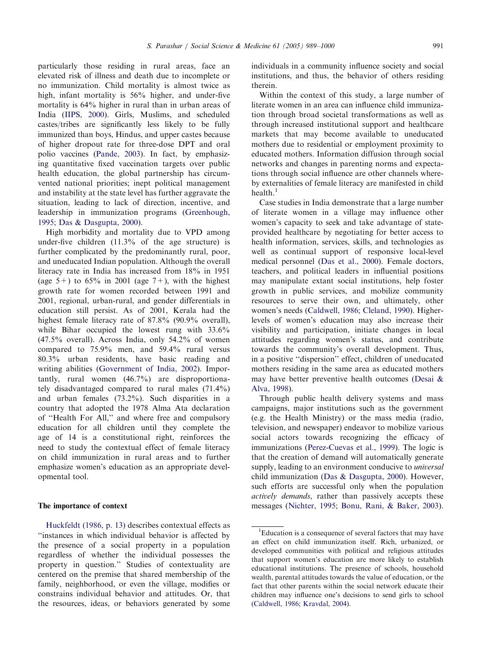particularly those residing in rural areas, face an elevated risk of illness and death due to incomplete or no immunization. Child mortality is almost twice as high, infant mortality is 56% higher, and under-five mortality is 64% higher in rural than in urban areas of India [\(IIPS, 2000\)](#page-12-0). Girls, Muslims, and scheduled castes/tribes are significantly less likely to be fully immunized than boys, Hindus, and upper castes because of higher dropout rate for three-dose DPT and oral polio vaccines ([Pande, 2003](#page-12-0)). In fact, by emphasizing quantitative fixed vaccination targets over public health education, the global partnership has circumvented national priorities; inept political management and instability at the state level has further aggravate the situation, leading to lack of direction, incentive, and leadership in immunization programs [\(Greenhough,](#page-12-0) [1995](#page-12-0); [Das](#page-12-0) [& Dasgupta, 2000\)](#page-12-0).

High morbidity and mortality due to VPD among under-five children (11.3% of the age structure) is further complicated by the predominantly rural, poor, and uneducated Indian population. Although the overall literacy rate in India has increased from 18% in 1951 (age  $5+$ ) to  $65\%$  in 2001 (age  $7+$ ), with the highest growth rate for women recorded between 1991 and 2001, regional, urban-rural, and gender differentials in education still persist. As of 2001, Kerala had the highest female literacy rate of 87.8% (90.9% overall), while Bihar occupied the lowest rung with  $33.6\%$ (47.5% overall). Across India, only 54.2% of women compared to 75.9% men, and 59.4% rural versus 80.3% urban residents, have basic reading and writing abilities ([Government of India, 2002\)](#page-12-0). Importantly, rural women (46.7%) are disproportionately disadvantaged compared to rural males (71.4%) and urban females (73.2%). Such disparities in a country that adopted the 1978 Alma Ata declaration of ''Health For All,'' and where free and compulsory education for all children until they complete the age of 14 is a constitutional right, reinforces the need to study the contextual effect of female literacy on child immunization in rural areas and to further emphasize women's education as an appropriate developmental tool.

## The importance of context

[Huckfeldt \(1986, p. 13\)](#page-12-0) describes contextual effects as ''instances in which individual behavior is affected by the presence of a social property in a population regardless of whether the individual possesses the property in question.'' Studies of contextuality are centered on the premise that shared membership of the family, neighborhood, or even the village, modifies or constrains individual behavior and attitudes. Or, that the resources, ideas, or behaviors generated by some

individuals in a community influence society and social institutions, and thus, the behavior of others residing therein.

Within the context of this study, a large number of literate women in an area can influence child immunization through broad societal transformations as well as through increased institutional support and healthcare markets that may become available to uneducated mothers due to residential or employment proximity to educated mothers. Information diffusion through social networks and changes in parenting norms and expectations through social influence are other channels whereby externalities of female literacy are manifested in child health. $<sup>1</sup>$ </sup>

Case studies in India demonstrate that a large number of literate women in a village may influence other women's capacity to seek and take advantage of stateprovided healthcare by negotiating for better access to health information, services, skills, and technologies as well as continual support of responsive local-level medical personnel [\(Das et al., 2000\)](#page-12-0). Female doctors, teachers, and political leaders in influential positions may manipulate extant social institutions, help foster growth in public services, and mobilize community resources to serve their own, and ultimately, other women's needs ([Caldwell, 1986](#page-11-0); [Cleland, 1990](#page-12-0)). Higherlevels of women's education may also increase their visibility and participation, initiate changes in local attitudes regarding women's status, and contribute towards the community's overall development. Thus, in a positive ''dispersion'' effect, children of uneducated mothers residing in the same area as educated mothers may have better preventive health outcomes [\(Desai &](#page-12-0) [Alva, 1998](#page-12-0)).

Through public health delivery systems and mass campaigns, major institutions such as the government (e.g. the Health Ministry) or the mass media (radio, television, and newspaper) endeavor to mobilize various social actors towards recognizing the efficacy of immunizations ([Perez-Cuevas et al., 1999](#page-12-0)). The logic is that the creation of demand will automatically generate supply, leading to an environment conducive to *universal* child immunization ([Das & Dasgupta, 2000](#page-12-0)). However, such efforts are successful only when the population actively demands, rather than passively accepts these messages ([Nichter, 1995;](#page-12-0) [Bonu, Rani, & Baker, 2003](#page-11-0)).

<sup>&</sup>lt;sup>1</sup>Education is a consequence of several factors that may have an effect on child immunization itself. Rich, urbanized, or developed communities with political and religious attitudes that support women's education are more likely to establish educational institutions. The presence of schools, household wealth, parental attitudes towards the value of education, or the fact that other parents within the social network educate their children may influence one's decisions to send girls to school [\(Caldwell, 1986;](#page-11-0) [Kravdal, 2004](#page-12-0)).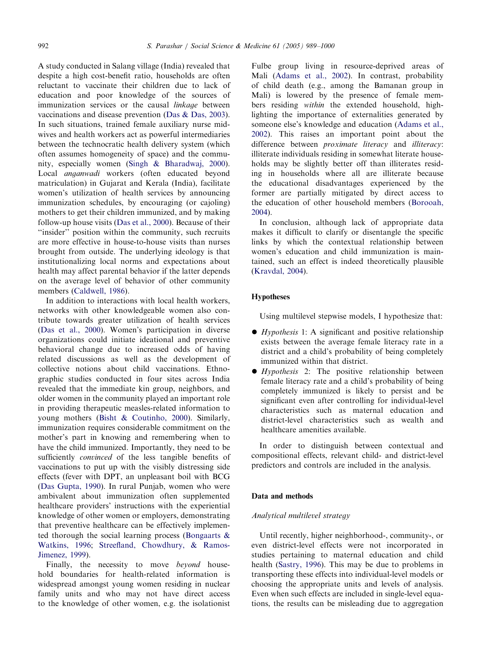A study conducted in Salang village (India) revealed that despite a high cost-benefit ratio, households are often reluctant to vaccinate their children due to lack of education and poor knowledge of the sources of immunization services or the causal *linkage* between vaccinations and disease prevention [\(Das](#page-12-0) [& Das, 2003](#page-12-0)). In such situations, trained female auxiliary nurse midwives and health workers act as powerful intermediaries between the technocratic health delivery system (which often assumes homogeneity of space) and the community, especially women [\(Singh & Bharadwaj, 2000](#page-12-0)). Local anganwadi workers (often educated beyond matriculation) in Gujarat and Kerala (India), facilitate women's utilization of health services by announcing immunization schedules, by encouraging (or cajoling) mothers to get their children immunized, and by making follow-up house visits ([Das et al., 2000](#page-12-0)). Because of their ''insider'' position within the community, such recruits are more effective in house-to-house visits than nurses brought from outside. The underlying ideology is that institutionalizing local norms and expectations about health may affect parental behavior if the latter depends on the average level of behavior of other community members ([Caldwell, 1986\)](#page-11-0).

In addition to interactions with local health workers, networks with other knowledgeable women also contribute towards greater utilization of health services ([Das et al., 2000\)](#page-12-0). Women's participation in diverse organizations could initiate ideational and preventive behavioral change due to increased odds of having related discussions as well as the development of collective notions about child vaccinations. Ethnographic studies conducted in four sites across India revealed that the immediate kin group, neighbors, and older women in the community played an important role in providing therapeutic measles-related information to young mothers ([Bisht & Coutinho, 2000](#page-11-0)). Similarly, immunization requires considerable commitment on the mother's part in knowing and remembering when to have the child immunized. Importantly, they need to be sufficiently *convinced* of the less tangible benefits of vaccinations to put up with the visibly distressing side effects (fever with DPT, an unpleasant boil with BCG ([Das Gupta, 1990\)](#page-12-0). In rural Punjab, women who were ambivalent about immunization often supplemented healthcare providers' instructions with the experiential knowledge of other women or employers, demonstrating that preventive healthcare can be effectively implemented thorough the social learning process ([Bongaarts &](#page-11-0) [Watkins, 1996;](#page-11-0) [Streefland, Chowdhury, & Ramos-](#page-12-0)[Jimenez, 1999](#page-12-0)).

Finally, the necessity to move *beyond* household boundaries for health-related information is widespread amongst young women residing in nuclear family units and who may not have direct access to the knowledge of other women, e.g. the isolationist Fulbe group living in resource-deprived areas of Mali ([Adams et al., 2002\)](#page-11-0). In contrast, probability of child death (e.g., among the Bamanan group in Mali) is lowered by the presence of female members residing within the extended household, highlighting the importance of externalities generated by someone else's knowledge and education [\(Adams et al.,](#page-11-0) [2002\)](#page-11-0). This raises an important point about the difference between *proximate literacy* and *illiteracy*: illiterate individuals residing in somewhat literate households may be slightly better off than illiterates residing in households where all are illiterate because the educational disadvantages experienced by the former are partially mitigated by direct access to the education of other household members ([Borooah,](#page-11-0) [2004\)](#page-11-0).

In conclusion, although lack of appropriate data makes it difficult to clarify or disentangle the specific links by which the contextual relationship between women's education and child immunization is maintained, such an effect is indeed theoretically plausible ([Kravdal, 2004\)](#page-12-0).

#### Hypotheses

Using multilevel stepwise models, I hypothesize that:

- $\bullet$  *Hypothesis* 1: A significant and positive relationship exists between the average female literacy rate in a district and a child's probability of being completely immunized within that district.
- $\bullet$  *Hypothesis* 2: The positive relationship between female literacy rate and a child's probability of being completely immunized is likely to persist and be significant even after controlling for individual-level characteristics such as maternal education and district-level characteristics such as wealth and healthcare amenities available.

In order to distinguish between contextual and compositional effects, relevant child- and district-level predictors and controls are included in the analysis.

## Data and methods

## Analytical multilevel strategy

Until recently, higher neighborhood-, community-, or even district-level effects were not incorporated in studies pertaining to maternal education and child health ([Sastry, 1996\)](#page-12-0). This may be due to problems in transporting these effects into individual-level models or choosing the appropriate units and levels of analysis. Even when such effects are included in single-level equations, the results can be misleading due to aggregation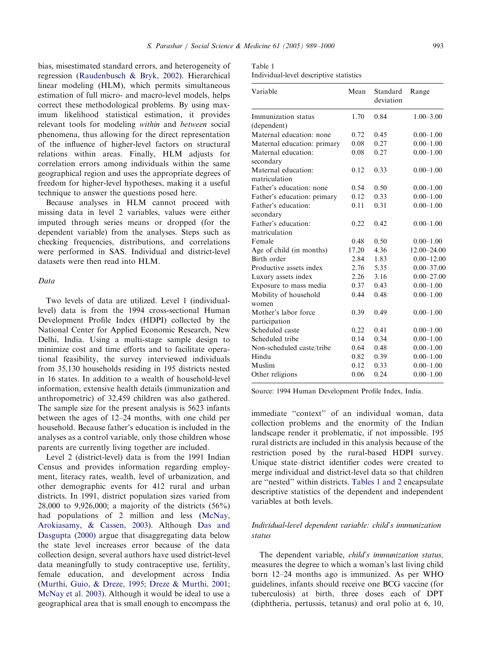bias, misestimated standard errors, and heterogeneity of regression [\(Raudenbusch](#page-12-0) [& Bryk, 2002\)](#page-12-0). Hierarchical linear modeling (HLM), which permits simultaneous estimation of full micro- and macro-level models, helps correct these methodological problems. By using maximum likelihood statistical estimation, it provides relevant tools for modeling within and between social phenomena, thus allowing for the direct representation of the influence of higher-level factors on structural relations within areas. Finally, HLM adjusts for correlation errors among individuals within the same geographical region and uses the appropriate degrees of freedom for higher-level hypotheses, making it a useful technique to answer the questions posed here.

Because analyses in HLM cannot proceed with missing data in level 2 variables, values were either imputed through series means or dropped (for the dependent variable) from the analyses. Steps such as checking frequencies, distributions, and correlations were performed in SAS. Individual and district-level datasets were then read into HLM.

#### Data

Two levels of data are utilized. Level 1 (individuallevel) data is from the 1994 cross-sectional Human Development Profile Index (HDPI) collected by the National Center for Applied Economic Research, New Delhi, India. Using a multi-stage sample design to minimize cost and time efforts and to facilitate operational feasibility, the survey interviewed individuals from 35,130 households residing in 195 districts nested in 16 states. In addition to a wealth of household-level information, extensive health details (immunization and anthropometric) of 32,459 children was also gathered. The sample size for the present analysis is 5623 infants between the ages of 12–24 months, with one child per household. Because father's education is included in the analyses as a control variable, only those children whose parents are currently living together are included.

Level 2 (district-level) data is from the 1991 Indian Census and provides information regarding employment, literacy rates, wealth, level of urbanization, and other demographic events for 412 rural and urban districts. In 1991, district population sizes varied from 28,000 to 9,926,000; a majority of the districts (56%) had populations of 2 million and less [\(McNay,](#page-12-0) [Arokiasamy, & Cassen, 2003\)](#page-12-0). Although [Das and](#page-12-0) [Dasgupta \(2000\)](#page-12-0) argue that disaggregating data below the state level increases error because of the data collection design, several authors have used district-level data meaningfully to study contraceptive use, fertility, female education, and development across India ([Murthi, Guio, & Dreze, 1995](#page-12-0); [Dreze](#page-12-0) [& Murthi, 2001](#page-12-0); [McNay et al. 2003\)](#page-12-0). Although it would be ideal to use a geographical area that is small enough to encompass the

Individual-level descriptive statistics

| Variable                             | Mean  | Standard<br>deviation | Range           |  |  |
|--------------------------------------|-------|-----------------------|-----------------|--|--|
| Immunization status                  | 1.70  | 0.84                  | $1.00 - 3.00$   |  |  |
| (dependent)                          |       |                       |                 |  |  |
| Maternal education: none             | 0.72  | 0.45                  | $0.00 - 1.00$   |  |  |
| Maternal education: primary          | 0.08  | 0.27                  | $0.00 - 1.00$   |  |  |
| Maternal education:<br>secondary     | 0.08  | 0.27                  | $0.00 - 1.00$   |  |  |
| Maternal education:<br>matriculation | 0.12  | 0.33                  | $0.00 - 1.00$   |  |  |
| Father's education: none             | 0.54  | 0.50                  | $0.00 - 1.00$   |  |  |
| Father's education: primary          | 0.12  | 0.33                  | $0.00 - 1.00$   |  |  |
| Father's education:<br>secondary     | 0.11  | 0.31                  | $0.00 - 1.00$   |  |  |
| Father's education:                  | 0.22  | 0.42                  | $0.00 - 1.00$   |  |  |
| matriculation                        |       |                       |                 |  |  |
| Female                               | 0.48  | 0.50                  | $0.00 - 1.00$   |  |  |
| Age of child (in months)             | 17.20 | 4.36                  | $12.00 - 24.00$ |  |  |
| Birth order                          | 2.84  | 1.83                  | $0.00 - 12.00$  |  |  |
| Productive assets index              | 2.76  | 5.35                  | $0.00 - 37.00$  |  |  |
| Luxury assets index                  | 2.26  | 3.16                  | $0.00 - 27.00$  |  |  |
| Exposure to mass media               | 0.37  | 0.43                  | $0.00 - 1.00$   |  |  |
| Mobility of household<br>women       | 0.44  | 0.48                  | $0.00 - 1.00$   |  |  |
| Mother's labor force                 | 0.39  | 0.49                  | $0.00 - 1.00$   |  |  |
| participation                        |       |                       |                 |  |  |
| Scheduled caste                      | 0.22  | 0.41                  | $0.00 - 1.00$   |  |  |
| Scheduled tribe                      | 0.14  | 0.34                  | $0.00 - 1.00$   |  |  |
| Non-scheduled caste/tribe            | 0.64  | 0.48                  | $0.00 - 1.00$   |  |  |
| Hindu                                | 0.82  | 0.39                  | $0.00 - 1.00$   |  |  |
| Muslim                               | 0.12  | 0.33                  | $0.00 - 1.00$   |  |  |
| Other religions                      | 0.06  | 0.24                  | $0.00 - 1.00$   |  |  |

Source: 1994 Human Development Profile Index, India.

immediate ''context'' of an individual woman, data collection problems and the enormity of the Indian landscape render it problematic, if not impossible. 195 rural districts are included in this analysis because of the restriction posed by the rural-based HDPI survey. Unique state–district identifier codes were created to merge individual and district-level data so that children are ''nested'' within districts. Tables 1 and 2 encapsulate descriptive statistics of the dependent and independent variables at both levels.

## Individual-level dependent variable: child's immunization status

The dependent variable, child's immunization status, measures the degree to which a woman's last living child born 12–24 months ago is immunized. As per WHO guidelines, infants should receive one BCG vaccine (for tuberculosis) at birth, three doses each of DPT (diphtheria, pertussis, tetanus) and oral polio at 6, 10,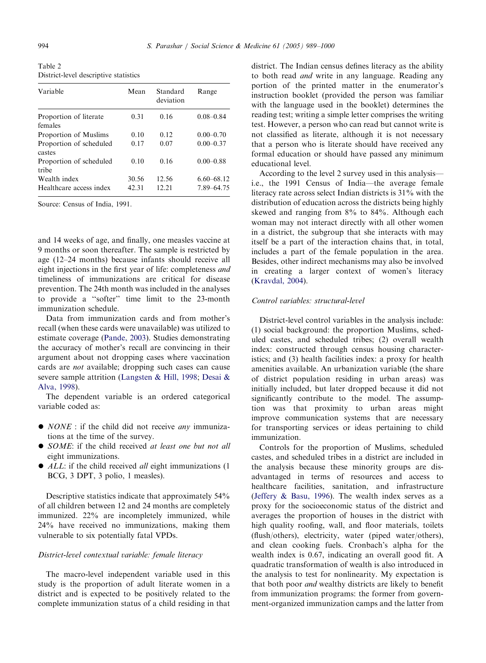Table 2 District-level descriptive statistics

| Variable                          | Mean  | Standard<br>deviation | Range          |
|-----------------------------------|-------|-----------------------|----------------|
| Proportion of literate<br>females | 0.31  | 0.16                  | $0.08 - 0.84$  |
| Proportion of Muslims             | 0.10  | 0.12                  | $0.00 - 0.70$  |
| Proportion of scheduled<br>castes | 0.17  | 0.07                  | $0.00 - 0.37$  |
| Proportion of scheduled<br>tribe  | 0.10  | 0.16                  | $0.00 - 0.88$  |
| Wealth index                      | 30.56 | 12.56                 | $6.60 - 68.12$ |
| Healthcare access index           | 42.31 | 12.21                 | 7.89 - 64.75   |

Source: Census of India, 1991.

and 14 weeks of age, and finally, one measles vaccine at 9 months or soon thereafter. The sample is restricted by age (12–24 months) because infants should receive all eight injections in the first year of life: completeness and timeliness of immunizations are critical for disease prevention. The 24th month was included in the analyses to provide a ''softer'' time limit to the 23-month immunization schedule.

Data from immunization cards and from mother's recall (when these cards were unavailable) was utilized to estimate coverage ([Pande, 2003\)](#page-12-0). Studies demonstrating the accuracy of mother's recall are convincing in their argument about not dropping cases where vaccination cards are not available; dropping such cases can cause severe sample attrition [\(Langsten](#page-12-0) [& Hill, 1998](#page-12-0); [Desai &](#page-12-0) [Alva, 1998](#page-12-0)).

The dependent variable is an ordered categorical variable coded as:

- $\bullet$  *NONE* : if the child did not receive *any* immunizations at the time of the survey.
- SOME: if the child received at least one but not all eight immunizations.
- $\bullet$  ALL: if the child received *all* eight immunizations (1) BCG, 3 DPT, 3 polio, 1 measles).

Descriptive statistics indicate that approximately 54% of all children between 12 and 24 months are completely immunized. 22% are incompletely immunized, while 24% have received no immunizations, making them vulnerable to six potentially fatal VPDs.

## District-level contextual variable: female literacy

The macro-level independent variable used in this study is the proportion of adult literate women in a district and is expected to be positively related to the complete immunization status of a child residing in that district. The Indian census defines literacy as the ability to both read and write in any language. Reading any portion of the printed matter in the enumerator's instruction booklet (provided the person was familiar with the language used in the booklet) determines the reading test; writing a simple letter comprises the writing test. However, a person who can read but cannot write is not classified as literate, although it is not necessary that a person who is literate should have received any formal education or should have passed any minimum educational level.

According to the level 2 survey used in this analysis i.e., the 1991 Census of India—the average female literacy rate across select Indian districts is 31% with the distribution of education across the districts being highly skewed and ranging from 8% to 84%. Although each woman may not interact directly with all other women in a district, the subgroup that she interacts with may itself be a part of the interaction chains that, in total, includes a part of the female population in the area. Besides, other indirect mechanisms may also be involved in creating a larger context of women's literacy ([Kravdal, 2004\)](#page-12-0).

#### Control variables: structural-level

District-level control variables in the analysis include: (1) social background: the proportion Muslims, scheduled castes, and scheduled tribes; (2) overall wealth index: constructed through census housing characteristics; and (3) health facilities index: a proxy for health amenities available. An urbanization variable (the share of district population residing in urban areas) was initially included, but later dropped because it did not significantly contribute to the model. The assumption was that proximity to urban areas might improve communication systems that are necessary for transporting services or ideas pertaining to child immunization.

Controls for the proportion of Muslims, scheduled castes, and scheduled tribes in a district are included in the analysis because these minority groups are disadvantaged in terms of resources and access to healthcare facilities, sanitation, and infrastructure ([Jeffery & Basu, 1996](#page-12-0)). The wealth index serves as a proxy for the socioeconomic status of the district and averages the proportion of houses in the district with high quality roofing, wall, and floor materials, toilets (flush/others), electricity, water (piped water/others), and clean cooking fuels. Cronbach's alpha for the wealth index is 0.67, indicating an overall good fit. A quadratic transformation of wealth is also introduced in the analysis to test for nonlinearity. My expectation is that both poor and wealthy districts are likely to benefit from immunization programs: the former from government-organized immunization camps and the latter from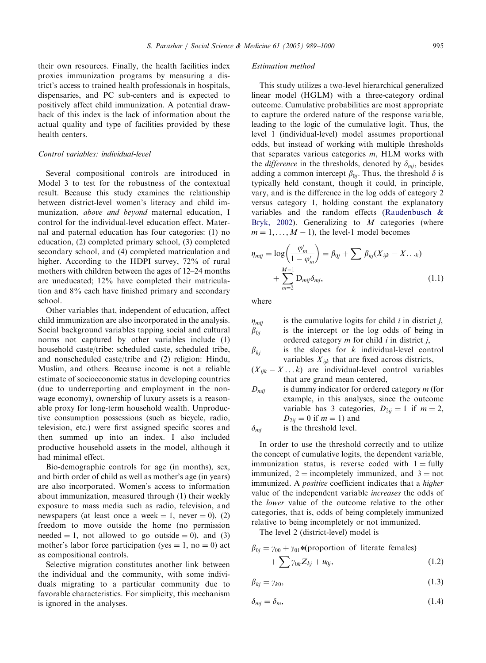their own resources. Finally, the health facilities index proxies immunization programs by measuring a district's access to trained health professionals in hospitals, dispensaries, and PC sub-centers and is expected to positively affect child immunization. A potential drawback of this index is the lack of information about the actual quality and type of facilities provided by these health centers.

## Control variables: individual-level

Several compositional controls are introduced in Model 3 to test for the robustness of the contextual result. Because this study examines the relationship between district-level women's literacy and child immunization, above and beyond maternal education, I control for the individual-level education effect. Maternal and paternal education has four categories: (1) no education, (2) completed primary school, (3) completed secondary school, and (4) completed matriculation and higher. According to the HDPI survey, 72% of rural mothers with children between the ages of 12–24 months are uneducated; 12% have completed their matriculation and 8% each have finished primary and secondary school.

Other variables that, independent of education, affect child immunization are also incorporated in the analysis. Social background variables tapping social and cultural norms not captured by other variables include (1) household caste/tribe: scheduled caste, scheduled tribe, and nonscheduled caste/tribe and (2) religion: Hindu, Muslim, and others. Because income is not a reliable estimate of socioeconomic status in developing countries (due to underreporting and employment in the nonwage economy), ownership of luxury assets is a reasonable proxy for long-term household wealth. Unproductive consumption possessions (such as bicycle, radio, television, etc.) were first assigned specific scores and then summed up into an index. I also included productive household assets in the model, although it had minimal effect.

Bio-demographic controls for age (in months), sex, and birth order of child as well as mother's age (in years) are also incorporated. Women's access to information about immunization, measured through (1) their weekly exposure to mass media such as radio, television, and newspapers (at least once a week  $= 1$ , never  $= 0$ ), (2) freedom to move outside the home (no permission needed  $= 1$ , not allowed to go outside  $= 0$ ), and (3) mother's labor force participation (yes  $= 1$ , no  $= 0$ ) act as compositional controls.

Selective migration constitutes another link between the individual and the community, with some individuals migrating to a particular community due to favorable characteristics. For simplicity, this mechanism is ignored in the analyses.

#### Estimation method

This study utilizes a two-level hierarchical generalized linear model (HGLM) with a three-category ordinal outcome. Cumulative probabilities are most appropriate to capture the ordered nature of the response variable, leading to the logic of the cumulative logit. Thus, the level 1 (individual-level) model assumes proportional odds, but instead of working with multiple thresholds that separates various categories  $m$ , HLM works with the *difference* in the thresholds, denoted by  $\delta_{mi}$ , besides adding a common intercept  $\beta_{0i}$ . Thus, the threshold  $\delta$  is typically held constant, though it could, in principle, vary, and is the difference in the log odds of category 2 versus category 1, holding constant the explanatory variables and the random effects [\(Raudenbusch &](#page-12-0) [Bryk, 2002\)](#page-12-0). Generalizing to  $M$  categories (where  $m = 1, \ldots, M - 1$ , the level-1 model becomes

$$
\eta_{mij} = \log\left(\frac{\varphi'_m}{1 - \varphi'_m}\right) = \beta_{0j} + \sum \beta_{kj} (X_{ijk} - X \dots_k)
$$

$$
+ \sum_{m=2}^{M-1} D_{mij} \delta_{mj}, \qquad (1.1)
$$

where

$$
\eta_{mij}
$$
 is the cumulative logits for child *i* in district *j*,  
\nis the intercept or the log odds of being in ordered category *m* for child *i* in district *j*,

 $\beta_{ki}$  is the slopes for k individual-level control variables  $X_{ijk}$  that are fixed across districts,

- $(X_{ijk} X \dots k)$  are individual-level control variables that are grand mean centered,
- $D_{mii}$  is dummy indicator for ordered category m (for example, in this analyses, since the outcome variable has 3 categories,  $D_{2ij} = 1$  if  $m = 2$ ,  $D_{2ij} = 0$  if  $m = 1$ ) and

 $\delta_{mi}$  is the threshold level.

In order to use the threshold correctly and to utilize the concept of cumulative logits, the dependent variable, immunization status, is reverse coded with  $1 = \text{fully}$ immunized,  $2 =$  incompletely immunized, and  $3 =$  not immunized. A *positive* coefficient indicates that a *higher* value of the independent variable increases the odds of the lower value of the outcome relative to the other categories, that is, odds of being completely immunized relative to being incompletely or not immunized.

The level 2 (district-level) model is

$$
\beta_{0j} = \gamma_{00} + \gamma_{01} * (proportion of literature females) + \sum \gamma_{0k} Z_{kj} + u_{0j},
$$
 (1.2)

$$
\beta_{kj} = \gamma_{k0},\tag{1.3}
$$

$$
\delta_{mj} = \delta_m,\tag{1.4}
$$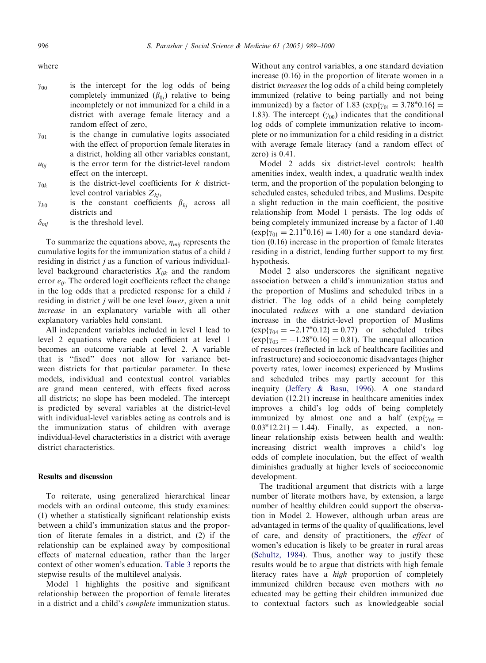where

- $y_{00}$  is the intercept for the log odds of being completely immunized  $(\beta_{0i})$  relative to being incompletely or not immunized for a child in a district with average female literacy and a random effect of zero,
- $y_{01}$  is the change in cumulative logits associated with the effect of proportion female literates in a district, holding all other variables constant,
- $u_{0i}$  is the error term for the district-level random effect on the intercept,
- $y_{0k}$  is the district-level coefficients for k districtlevel control variables  $Z_{ki}$ ,
- $\gamma_{k0}$  is the constant coefficients  $\beta_{ki}$  across all districts and
- $\delta_{mi}$  is the threshold level.

To summarize the equations above,  $\eta_{mii}$  represents the cumulative logits for the immunization status of a child i residing in district  $j$  as a function of various individuallevel background characteristics  $X_{ijk}$  and the random error  $e_{ii}$ . The ordered logit coefficients reflect the change in the log odds that a predicted response for a child  $i$ residing in district *j* will be one level *lower*, given a unit increase in an explanatory variable with all other explanatory variables held constant.

All independent variables included in level 1 lead to level 2 equations where each coefficient at level 1 becomes an outcome variable at level 2. A variable that is ''fixed'' does not allow for variance between districts for that particular parameter. In these models, individual and contextual control variables are grand mean centered, with effects fixed across all districts; no slope has been modeled. The intercept is predicted by several variables at the district-level with individual-level variables acting as controls and is the immunization status of children with average individual-level characteristics in a district with average district characteristics.

## Results and discussion

To reiterate, using generalized hierarchical linear models with an ordinal outcome, this study examines: (1) whether a statistically significant relationship exists between a child's immunization status and the proportion of literate females in a district, and (2) if the relationship can be explained away by compositional effects of maternal education, rather than the larger context of other women's education. [Table 3](#page-9-0) reports the stepwise results of the multilevel analysis.

Model 1 highlights the positive and significant relationship between the proportion of female literates in a district and a child's complete immunization status. Without any control variables, a one standard deviation increase (0.16) in the proportion of literate women in a district increases the log odds of a child being completely immunized (relative to being partially and not being immunized) by a factor of 1.83 ( $exp{\gamma_{01}} = 3.78^*0.16$ ) = 1.83). The intercept  $(\gamma_{00})$  indicates that the conditional log odds of complete immunization relative to incomplete or no immunization for a child residing in a district with average female literacy (and a random effect of zero) is 0.41.

Model 2 adds six district-level controls: health amenities index, wealth index, a quadratic wealth index term, and the proportion of the population belonging to scheduled castes, scheduled tribes, and Muslims. Despite a slight reduction in the main coefficient, the positive relationship from Model 1 persists. The log odds of being completely immunized increase by a factor of 1.40  $(\exp{\gamma_{01}} = 2.11^{*}0.16) = 1.40$  for a one standard deviation (0.16) increase in the proportion of female literates residing in a district, lending further support to my first hypothesis.

Model 2 also underscores the significant negative association between a child's immunization status and the proportion of Muslims and scheduled tribes in a district. The log odds of a child being completely inoculated reduces with a one standard deviation increase in the district-level proportion of Muslims  $(\exp{\gamma_{04}} = -2.17^*0.12) = 0.77$  or scheduled tribes  $(\exp{\gamma_{03}} = -1.28^*0.16) = 0.81$ . The unequal allocation of resources (reflected in lack of healthcare facilities and infrastructure) and socioeconomic disadvantages (higher poverty rates, lower incomes) experienced by Muslims and scheduled tribes may partly account for this inequity ([Jeffery & Basu, 1996\)](#page-12-0). A one standard deviation (12.21) increase in healthcare amenities index improves a child's log odds of being completely immunized by almost one and a half  $(\exp{\gamma_{05}} =$  $0.03*12.21$  = 1.44). Finally, as expected, a nonlinear relationship exists between health and wealth: increasing district wealth improves a child's log odds of complete inoculation, but the effect of wealth diminishes gradually at higher levels of socioeconomic development.

The traditional argument that districts with a large number of literate mothers have, by extension, a large number of healthy children could support the observation in Model 2. However, although urban areas are advantaged in terms of the quality of qualifications, level of care, and density of practitioners, the effect of women's education is likely to be greater in rural areas ([Schultz, 1984\)](#page-12-0). Thus, another way to justify these results would be to argue that districts with high female literacy rates have a high proportion of completely immunized children because even mothers with no educated may be getting their children immunized due to contextual factors such as knowledgeable social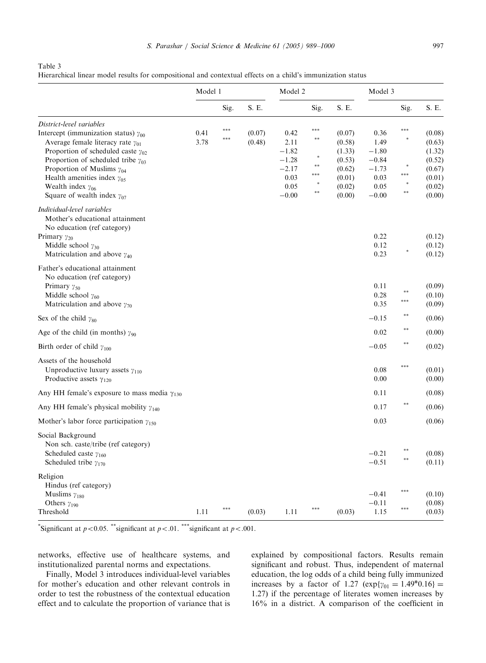## <span id="page-9-0"></span>Table 3

Hierarchical linear model results for compositional and contextual effects on a child's immunization status

|                                                                                                                                                                                               | Model 1 |      | Model 2 |         |               | Model 3 |                      |      |                            |
|-----------------------------------------------------------------------------------------------------------------------------------------------------------------------------------------------|---------|------|---------|---------|---------------|---------|----------------------|------|----------------------------|
|                                                                                                                                                                                               |         | Sig. | S. E.   |         | Sig.          | S. E.   |                      | Sig. | S. E.                      |
| District-level variables                                                                                                                                                                      |         |      |         |         |               |         |                      |      |                            |
| Intercept (immunization status) $\gamma_{00}$                                                                                                                                                 | 0.41    | ***  | (0.07)  | 0.42    | ***           | (0.07)  | 0.36                 | ***  | (0.08)                     |
| Average female literacy rate $\gamma_{01}$                                                                                                                                                    | 3.78    | ***  | (0.48)  | 2.11    | $\ast\ast$    | (0.58)  | 1.49                 |      | (0.63)                     |
| Proportion of scheduled caste $\gamma_{02}$                                                                                                                                                   |         |      |         | $-1.82$ |               | (1.33)  | $-1.80$              |      | (1.32)                     |
| Proportion of scheduled tribe $\gamma_{03}$                                                                                                                                                   |         |      |         | $-1.28$ |               | (0.53)  | $-0.84$              |      | (0.52)                     |
| Proportion of Muslims $\gamma_{04}$                                                                                                                                                           |         |      |         | $-2.17$ | $\frac{1}{2}$ | (0.62)  | $-1.73$              |      | (0.67)                     |
| Health amenities index $\gamma_{05}$                                                                                                                                                          |         |      |         | 0.03    | ***           | (0.01)  | 0.03                 |      | (0.01)                     |
| Wealth index $\gamma_{06}$                                                                                                                                                                    |         |      |         | 0.05    |               | (0.02)  | 0.05                 |      | (0.02)                     |
| Square of wealth index $\gamma_{07}$                                                                                                                                                          |         |      |         | $-0.00$ | $**$          | (0.00)  | $-0.00$              |      | (0.00)                     |
| Individual-level variables<br>Mother's educational attainment<br>No education (ref category)<br>Primary $\gamma_{20}$<br>Middle school $\gamma_{30}$<br>Matriculation and above $\gamma_{40}$ |         |      |         |         |               |         | 0.22<br>0.12<br>0.23 |      | (0.12)<br>(0.12)<br>(0.12) |
| Father's educational attainment                                                                                                                                                               |         |      |         |         |               |         |                      |      |                            |
| No education (ref category)                                                                                                                                                                   |         |      |         |         |               |         |                      |      |                            |
|                                                                                                                                                                                               |         |      |         |         |               |         | 0.11                 |      | (0.09)                     |
| Primary $\gamma_{50}$                                                                                                                                                                         |         |      |         |         |               |         |                      |      |                            |
| Middle school $\gamma_{60}$<br>Matriculation and above $\gamma_{70}$                                                                                                                          |         |      |         |         |               |         | 0.28<br>0.35         |      | (0.10)<br>(0.09)           |
|                                                                                                                                                                                               |         |      |         |         |               |         |                      | **   |                            |
| Sex of the child $\gamma_{80}$                                                                                                                                                                |         |      |         |         |               |         | $-0.15$              |      | (0.06)                     |
| Age of the child (in months) $\gamma_{90}$                                                                                                                                                    |         |      |         |         |               |         | 0.02                 | **   | (0.00)                     |
| Birth order of child $\gamma_{100}$                                                                                                                                                           |         |      |         |         |               |         | $-0.05$              | **   | (0.02)                     |
| Assets of the household                                                                                                                                                                       |         |      |         |         |               |         |                      |      |                            |
| Unproductive luxury assets $\gamma_{110}$                                                                                                                                                     |         |      |         |         |               |         | 0.08                 | ***  | (0.01)                     |
| Productive assets $\gamma_{120}$                                                                                                                                                              |         |      |         |         |               |         | 0.00                 |      | (0.00)                     |
| Any HH female's exposure to mass media $\gamma_{130}$                                                                                                                                         |         |      |         |         |               |         | 0.11                 |      | (0.08)                     |
|                                                                                                                                                                                               |         |      |         |         |               |         | 0.17                 | **   |                            |
| Any HH female's physical mobility $\gamma_{140}$                                                                                                                                              |         |      |         |         |               |         |                      |      | (0.06)                     |
| Mother's labor force participation $\gamma_{150}$                                                                                                                                             |         |      |         |         |               |         | 0.03                 |      | (0.06)                     |
| Social Background                                                                                                                                                                             |         |      |         |         |               |         |                      |      |                            |
| Non sch. caste/tribe (ref category)                                                                                                                                                           |         |      |         |         |               |         |                      |      |                            |
| Scheduled caste $\gamma_{160}$                                                                                                                                                                |         |      |         |         |               |         | $-0.21$              |      | (0.08)                     |
| Scheduled tribe $\gamma_{170}$                                                                                                                                                                |         |      |         |         |               |         | $-0.51$              | **   | (0.11)                     |
| Religion                                                                                                                                                                                      |         |      |         |         |               |         |                      |      |                            |
|                                                                                                                                                                                               |         |      |         |         |               |         |                      |      |                            |
| Hindus (ref category)                                                                                                                                                                         |         |      |         |         |               |         |                      | ***  |                            |
| Muslims $\gamma_{180}$                                                                                                                                                                        |         |      |         |         |               |         | $-0.41$              |      | (0.10)                     |
| Others $\gamma_{190}$                                                                                                                                                                         |         |      |         |         |               |         | $-0.11$              | ***  | (0.08)                     |
| Threshold                                                                                                                                                                                     | 1.11    |      | (0.03)  | 1.11    |               | (0.03)  | 1.15                 |      | (0.03)                     |

\*Significant at  $p < 0.05$ . \*\*significant at  $p < .01$ . \*\*\*significant at  $p < .001$ .

networks, effective use of healthcare systems, and institutionalized parental norms and expectations.

Finally, Model 3 introduces individual-level variables for mother's education and other relevant controls in order to test the robustness of the contextual education effect and to calculate the proportion of variance that is explained by compositional factors. Results remain significant and robust. Thus, independent of maternal education, the log odds of a child being fully immunized increases by a factor of 1.27  $(\exp{\gamma_{01}} = 1.49^*0.16) =$ 1.27) if the percentage of literates women increases by 16% in a district. A comparison of the coefficient in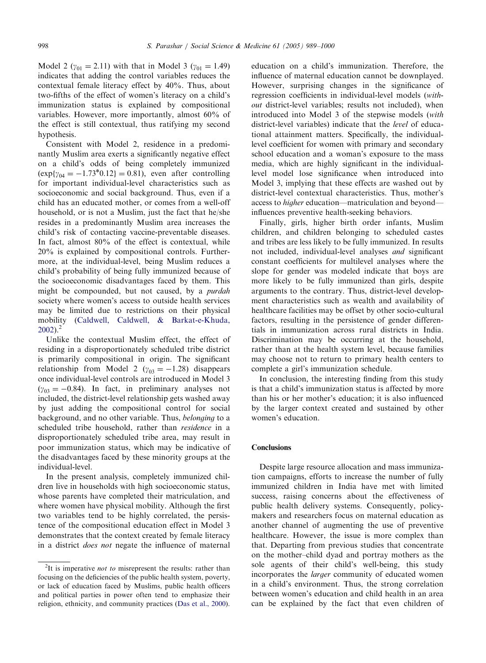Model 2 ( $\gamma_{01} = 2.11$ ) with that in Model 3 ( $\gamma_{01} = 1.49$ ) indicates that adding the control variables reduces the contextual female literacy effect by 40%. Thus, about two-fifths of the effect of women's literacy on a child's immunization status is explained by compositional variables. However, more importantly, almost 60% of the effect is still contextual, thus ratifying my second hypothesis.

Consistent with Model 2, residence in a predominantly Muslim area exerts a significantly negative effect on a child's odds of being completely immunized  $(\exp{\gamma_{04}} = -1.73^*0.12) = 0.81$ , even after controlling for important individual-level characteristics such as socioeconomic and social background. Thus, even if a child has an educated mother, or comes from a well-off household, or is not a Muslim, just the fact that he/she resides in a predominantly Muslim area increases the child's risk of contacting vaccine-preventable diseases. In fact, almost 80% of the effect is contextual, while 20% is explained by compositional controls. Furthermore, at the individual-level, being Muslim reduces a child's probability of being fully immunized because of the socioeconomic disadvantages faced by them. This might be compounded, but not caused, by a purdah society where women's access to outside health services may be limited due to restrictions on their physical mobility ([Caldwell, Caldwell,](#page-12-0) [& Barkat-e-Khuda,](#page-12-0)  $2002$ )<sup>2</sup>

Unlike the contextual Muslim effect, the effect of residing in a disproportionately scheduled tribe district is primarily compositional in origin. The significant relationship from Model 2 ( $\gamma_{03} = -1.28$ ) disappears once individual-level controls are introduced in Model 3  $(y_{03} = -0.84)$ . In fact, in preliminary analyses not included, the district-level relationship gets washed away by just adding the compositional control for social background, and no other variable. Thus, belonging to a scheduled tribe household, rather than residence in a disproportionately scheduled tribe area, may result in poor immunization status, which may be indicative of the disadvantages faced by these minority groups at the individual-level.

In the present analysis, completely immunized children live in households with high socioeconomic status, whose parents have completed their matriculation, and where women have physical mobility. Although the first two variables tend to be highly correlated, the persistence of the compositional education effect in Model 3 demonstrates that the context created by female literacy in a district does not negate the influence of maternal education on a child's immunization. Therefore, the influence of maternal education cannot be downplayed. However, surprising changes in the significance of regression coefficients in individual-level models (without district-level variables; results not included), when introduced into Model 3 of the stepwise models (with district-level variables) indicate that the level of educational attainment matters. Specifically, the individuallevel coefficient for women with primary and secondary school education and a woman's exposure to the mass media, which are highly significant in the individuallevel model lose significance when introduced into Model 3, implying that these effects are washed out by district-level contextual characteristics. Thus, mother's access to higher education—matriculation and beyond influences preventive health-seeking behaviors.

Finally, girls, higher birth order infants, Muslim children, and children belonging to scheduled castes and tribes are less likely to be fully immunized. In results not included, individual-level analyses and significant constant coefficients for multilevel analyses where the slope for gender was modeled indicate that boys are more likely to be fully immunized than girls, despite arguments to the contrary. Thus, district-level development characteristics such as wealth and availability of healthcare facilities may be offset by other socio-cultural factors, resulting in the persistence of gender differentials in immunization across rural districts in India. Discrimination may be occurring at the household, rather than at the health system level, because families may choose not to return to primary health centers to complete a girl's immunization schedule.

In conclusion, the interesting finding from this study is that a child's immunization status is affected by more than his or her mother's education; it is also influenced by the larger context created and sustained by other women's education.

## **Conclusions**

Despite large resource allocation and mass immunization campaigns, efforts to increase the number of fully immunized children in India have met with limited success, raising concerns about the effectiveness of public health delivery systems. Consequently, policymakers and researchers focus on maternal education as another channel of augmenting the use of preventive healthcare. However, the issue is more complex than that. Departing from previous studies that concentrate on the mother–child dyad and portray mothers as the sole agents of their child's well-being, this study incorporates the larger community of educated women in a child's environment. Thus, the strong correlation between women's education and child health in an area can be explained by the fact that even children of

<sup>&</sup>lt;sup>2</sup>It is imperative *not to* misrepresent the results: rather than focusing on the deficiencies of the public health system, poverty, or lack of education faced by Muslims, public health officers and political parties in power often tend to emphasize their religion, ethnicity, and community practices ([Das et al., 2000\)](#page-12-0).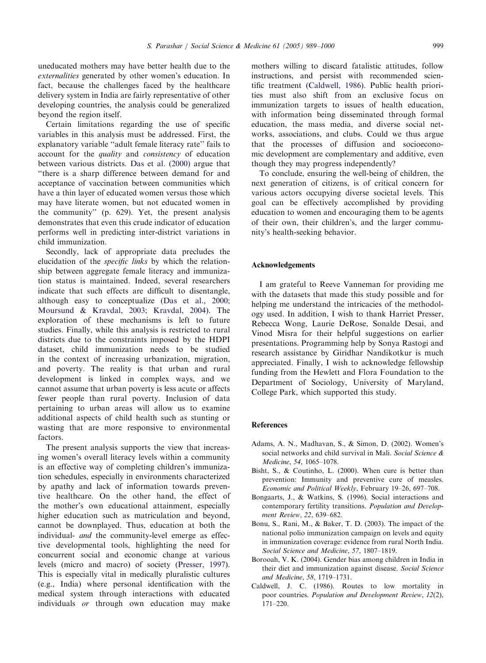<span id="page-11-0"></span>uneducated mothers may have better health due to the externalities generated by other women's education. In fact, because the challenges faced by the healthcare delivery system in India are fairly representative of other developing countries, the analysis could be generalized beyond the region itself.

Certain limitations regarding the use of specific variables in this analysis must be addressed. First, the explanatory variable ''adult female literacy rate'' fails to account for the quality and consistency of education between various districts. [Das et al. \(2000\)](#page-12-0) argue that ''there is a sharp difference between demand for and acceptance of vaccination between communities which have a thin layer of educated women versus those which may have literate women, but not educated women in the community'' (p. 629). Yet, the present analysis demonstrates that even this crude indicator of education performs well in predicting inter-district variations in child immunization.

Secondly, lack of appropriate data precludes the elucidation of the specific links by which the relationship between aggregate female literacy and immunization status is maintained. Indeed, several researchers indicate that such effects are difficult to disentangle, although easy to conceptualize ([Das et al., 2000](#page-12-0); [Moursund & Kravdal, 2003](#page-12-0); [Kravdal, 2004\)](#page-12-0). The exploration of these mechanisms is left to future studies. Finally, while this analysis is restricted to rural districts due to the constraints imposed by the HDPI dataset, child immunization needs to be studied in the context of increasing urbanization, migration, and poverty. The reality is that urban and rural development is linked in complex ways, and we cannot assume that urban poverty is less acute or affects fewer people than rural poverty. Inclusion of data pertaining to urban areas will allow us to examine additional aspects of child health such as stunting or wasting that are more responsive to environmental factors.

The present analysis supports the view that increasing women's overall literacy levels within a community is an effective way of completing children's immunization schedules, especially in environments characterized by apathy and lack of information towards preventive healthcare. On the other hand, the effect of the mother's own educational attainment, especially higher education such as matriculation and beyond, cannot be downplayed. Thus, education at both the individual- and the community-level emerge as effective developmental tools, highlighting the need for concurrent social and economic change at various levels (micro and macro) of society [\(Presser, 1997](#page-12-0)). This is especially vital in medically pluralistic cultures (e.g., India) where personal identification with the medical system through interactions with educated individuals or through own education may make

mothers willing to discard fatalistic attitudes, follow instructions, and persist with recommended scientific treatment (Caldwell, 1986). Public health priorities must also shift from an exclusive focus on immunization targets to issues of health education, with information being disseminated through formal education, the mass media, and diverse social networks, associations, and clubs. Could we thus argue that the processes of diffusion and socioeconomic development are complementary and additive, even though they may progress independently?

To conclude, ensuring the well-being of children, the next generation of citizens, is of critical concern for various actors occupying diverse societal levels. This goal can be effectively accomplished by providing education to women and encouraging them to be agents of their own, their children's, and the larger community's health-seeking behavior.

### Acknowledgements

I am grateful to Reeve Vanneman for providing me with the datasets that made this study possible and for helping me understand the intricacies of the methodology used. In addition, I wish to thank Harriet Presser, Rebecca Wong, Laurie DeRose, Sonalde Desai, and Vinod Misra for their helpful suggestions on earlier presentations. Programming help by Sonya Rastogi and research assistance by Giridhar Nandikotkur is much appreciated. Finally, I wish to acknowledge fellowship funding from the Hewlett and Flora Foundation to the Department of Sociology, University of Maryland, College Park, which supported this study.

## References

- Adams, A. N., Madhavan, S., & Simon, D. (2002). Women's social networks and child survival in Mali. Social Science & Medicine, 54, 1065–1078.
- Bisht, S., & Coutinho, L. (2000). When cure is better than prevention: Immunity and preventive cure of measles. Economic and Political Weekly, February 19–26, 697–708.
- Bongaarts, J., & Watkins, S. (1996). Social interactions and contemporary fertility transitions. Population and Development Review, 22, 639–682.
- Bonu, S., Rani, M., & Baker, T. D. (2003). The impact of the national polio immunization campaign on levels and equity in immunization coverage: evidence from rural North India. Social Science and Medicine, 57, 1807–1819.
- Borooah, V. K. (2004). Gender bias among children in India in their diet and immunization against disease. Social Science and Medicine, 58, 1719–1731.
- Caldwell, J. C. (1986). Routes to low mortality in poor countries. Population and Development Review, 12(2), 171–220.